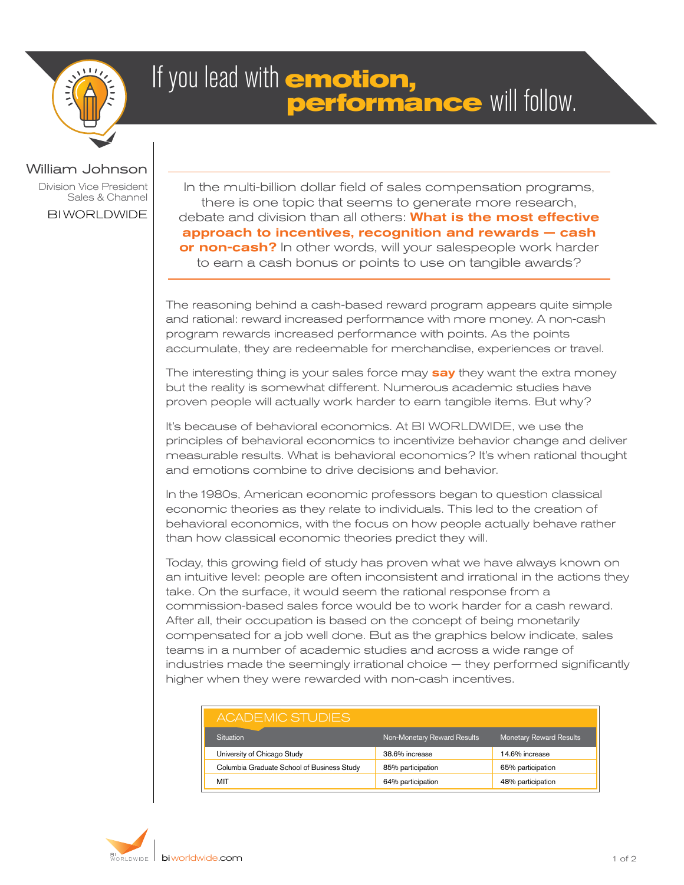

## If you lead with **emotion, performance** will follow.

## William Johnson

Division Vice President Sales & Channel

BI WORLDWIDE

In the multi-billion dollar field of sales compensation programs, there is one topic that seems to generate more research, debate and division than all others: **What is the most effective** approach to incentives, recognition and rewards — cash or non-cash? In other words, will your salespeople work harder to earn a cash bonus or points to use on tangible awards?

The reasoning behind a cash-based reward program appears quite simple and rational: reward increased performance with more money. A non-cash program rewards increased performance with points. As the points accumulate, they are redeemable for merchandise, experiences or travel.

The interesting thing is your sales force may say they want the extra money but the reality is somewhat different. Numerous academic studies have proven people will actually work harder to earn tangible items. But why?

It's because of behavioral economics. At BI WORLDWIDE, we use the principles of behavioral economics to incentivize behavior change and deliver measurable results. What is behavioral economics? It's when rational thought and emotions combine to drive decisions and behavior.

In the 1980s, American economic professors began to question classical economic theories as they relate to individuals. This led to the creation of behavioral economics, with the focus on how people actually behave rather than how classical economic theories predict they will.

Today, this growing field of study has proven what we have always known on an intuitive level: people are often inconsistent and irrational in the actions they take. On the surface, it would seem the rational response from a commission-based sales force would be to work harder for a cash reward. After all, their occupation is based on the concept of being monetarily compensated for a job well done. But as the graphics below indicate, sales teams in a number of academic studies and across a wide range of industries made the seemingly irrational choice — they performed significantly higher when they were rewarded with non-cash incentives.

| ACADEMIC STUDIES                           |                             |                                |
|--------------------------------------------|-----------------------------|--------------------------------|
| Situation                                  | Non-Monetary Reward Results | <b>Monetary Reward Results</b> |
| University of Chicago Study                | 38.6% increase              | 14.6% increase                 |
| Columbia Graduate School of Business Study | 85% participation           | 65% participation              |
| MIT                                        | 64% participation           | 48% participation              |